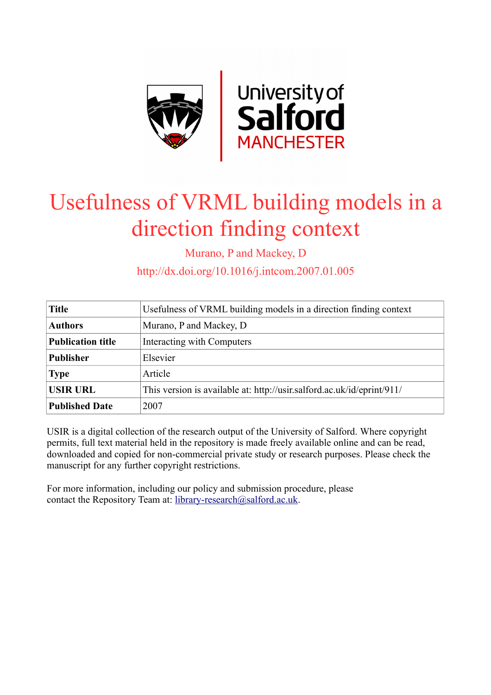

# Usefulness of VRML building models in a direction finding context

Murano, P and Mackey, D

http://dx.doi.org/10.1016/j.intcom.2007.01.005

| <b>Title</b>             | Usefulness of VRML building models in a direction finding context      |
|--------------------------|------------------------------------------------------------------------|
| <b>Authors</b>           | Murano, P and Mackey, D                                                |
| <b>Publication title</b> | Interacting with Computers                                             |
| <b>Publisher</b>         | Elsevier                                                               |
| <b>Type</b>              | Article                                                                |
| <b>USIR URL</b>          | This version is available at: http://usir.salford.ac.uk/id/eprint/911/ |
| <b>Published Date</b>    | 2007                                                                   |

USIR is a digital collection of the research output of the University of Salford. Where copyright permits, full text material held in the repository is made freely available online and can be read, downloaded and copied for non-commercial private study or research purposes. Please check the manuscript for any further copyright restrictions.

For more information, including our policy and submission procedure, please contact the Repository Team at: [library-research@salford.ac.uk.](mailto:library-research@salford.ac.uk)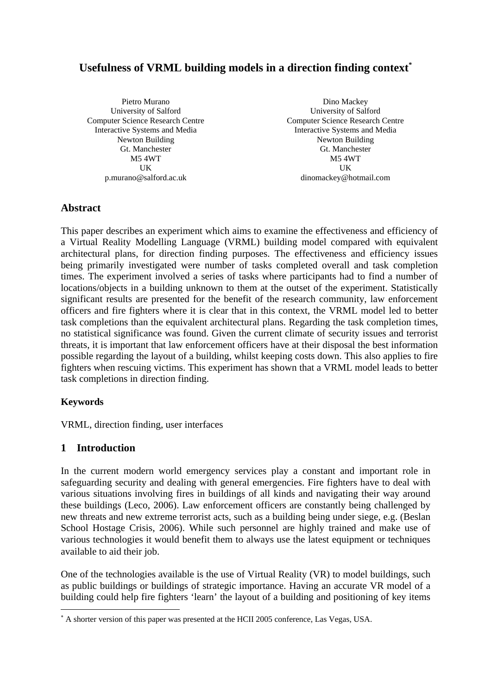# Usefulness of VRML building models in a direction finding context<sup>\*</sup>

Pietro Murano University of Salford Computer Science Research Centre Interactive Systems and Media Newton Building Gt. Manchester M5 4WT UK p.murano@salford.ac.uk

Dino Mackey University of Salford Computer Science Research Centre Interactive Systems and Media Newton Building Gt. Manchester M5 4WT UK dinomackey@hotmail.com

#### **Abstract**

This paper describes an experiment which aims to examine the effectiveness and efficiency of a Virtual Reality Modelling Language (VRML) building model compared with equivalent architectural plans, for direction finding purposes. The effectiveness and efficiency issues being primarily investigated were number of tasks completed overall and task completion times. The experiment involved a series of tasks where participants had to find a number of locations/objects in a building unknown to them at the outset of the experiment. Statistically significant results are presented for the benefit of the research community, law enforcement officers and fire fighters where it is clear that in this context, the VRML model led to better task completions than the equivalent architectural plans. Regarding the task completion times, no statistical significance was found. Given the current climate of security issues and terrorist threats, it is important that law enforcement officers have at their disposal the best information possible regarding the layout of a building, whilst keeping costs down. This also applies to fire fighters when rescuing victims. This experiment has shown that a VRML model leads to better task completions in direction finding.

# **Keywords**

 $\overline{a}$ 

VRML, direction finding, user interfaces

# **1 Introduction**

In the current modern world emergency services play a constant and important role in safeguarding security and dealing with general emergencies. Fire fighters have to deal with various situations involving fires in buildings of all kinds and navigating their way around these buildings (Leco, 2006). Law enforcement officers are constantly being challenged by new threats and new extreme terrorist acts, such as a building being under siege, e.g. (Beslan School Hostage Crisis, 2006). While such personnel are highly trained and make use of various technologies it would benefit them to always use the latest equipment or techniques available to aid their job.

One of the technologies available is the use of Virtual Reality (VR) to model buildings, such as public buildings or buildings of strategic importance. Having an accurate VR model of a building could help fire fighters 'learn' the layout of a building and positioning of key items

<sup>∗</sup> A shorter version of this paper was presented at the HCII 2005 conference, Las Vegas, USA.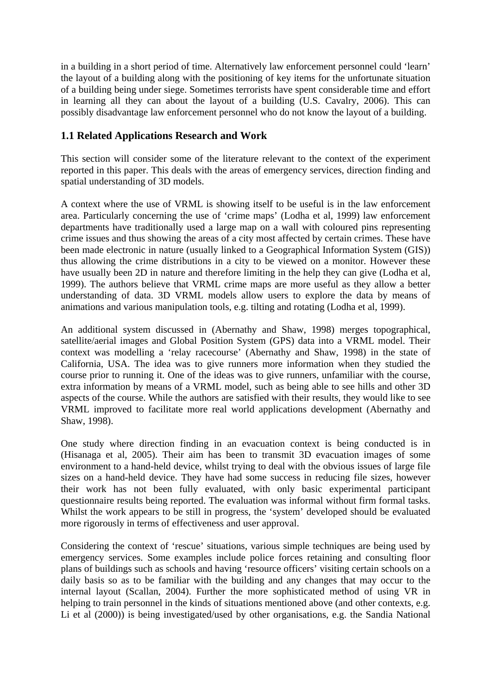in a building in a short period of time. Alternatively law enforcement personnel could 'learn' the layout of a building along with the positioning of key items for the unfortunate situation of a building being under siege. Sometimes terrorists have spent considerable time and effort in learning all they can about the layout of a building (U.S. Cavalry, 2006). This can possibly disadvantage law enforcement personnel who do not know the layout of a building.

# **1.1 Related Applications Research and Work**

This section will consider some of the literature relevant to the context of the experiment reported in this paper. This deals with the areas of emergency services, direction finding and spatial understanding of 3D models.

A context where the use of VRML is showing itself to be useful is in the law enforcement area. Particularly concerning the use of 'crime maps' (Lodha et al, 1999) law enforcement departments have traditionally used a large map on a wall with coloured pins representing crime issues and thus showing the areas of a city most affected by certain crimes. These have been made electronic in nature (usually linked to a Geographical Information System (GIS)) thus allowing the crime distributions in a city to be viewed on a monitor. However these have usually been 2D in nature and therefore limiting in the help they can give (Lodha et al, 1999). The authors believe that VRML crime maps are more useful as they allow a better understanding of data. 3D VRML models allow users to explore the data by means of animations and various manipulation tools, e.g. tilting and rotating (Lodha et al, 1999).

An additional system discussed in (Abernathy and Shaw, 1998) merges topographical, satellite/aerial images and Global Position System (GPS) data into a VRML model. Their context was modelling a 'relay racecourse' (Abernathy and Shaw, 1998) in the state of California, USA. The idea was to give runners more information when they studied the course prior to running it. One of the ideas was to give runners, unfamiliar with the course, extra information by means of a VRML model, such as being able to see hills and other 3D aspects of the course. While the authors are satisfied with their results, they would like to see VRML improved to facilitate more real world applications development (Abernathy and Shaw, 1998).

One study where direction finding in an evacuation context is being conducted is in (Hisanaga et al, 2005). Their aim has been to transmit 3D evacuation images of some environment to a hand-held device, whilst trying to deal with the obvious issues of large file sizes on a hand-held device. They have had some success in reducing file sizes, however their work has not been fully evaluated, with only basic experimental participant questionnaire results being reported. The evaluation was informal without firm formal tasks. Whilst the work appears to be still in progress, the 'system' developed should be evaluated more rigorously in terms of effectiveness and user approval.

Considering the context of 'rescue' situations, various simple techniques are being used by emergency services. Some examples include police forces retaining and consulting floor plans of buildings such as schools and having 'resource officers' visiting certain schools on a daily basis so as to be familiar with the building and any changes that may occur to the internal layout (Scallan, 2004). Further the more sophisticated method of using VR in helping to train personnel in the kinds of situations mentioned above (and other contexts, e.g. Li et al (2000)) is being investigated/used by other organisations, e.g. the Sandia National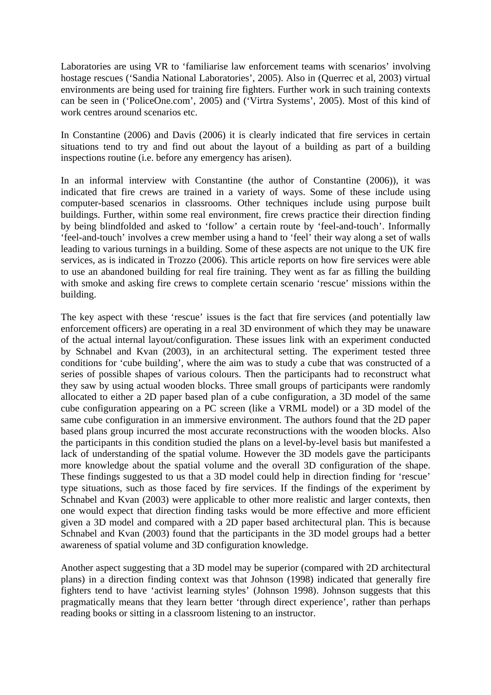Laboratories are using VR to 'familiarise law enforcement teams with scenarios' involving hostage rescues ('Sandia National Laboratories', 2005). Also in (Querrec et al, 2003) virtual environments are being used for training fire fighters. Further work in such training contexts can be seen in ('PoliceOne.com', 2005) and ('Virtra Systems', 2005). Most of this kind of work centres around scenarios etc.

In Constantine (2006) and Davis (2006) it is clearly indicated that fire services in certain situations tend to try and find out about the layout of a building as part of a building inspections routine (i.e. before any emergency has arisen).

In an informal interview with Constantine (the author of Constantine (2006)), it was indicated that fire crews are trained in a variety of ways. Some of these include using computer-based scenarios in classrooms. Other techniques include using purpose built buildings. Further, within some real environment, fire crews practice their direction finding by being blindfolded and asked to 'follow' a certain route by 'feel-and-touch'. Informally 'feel-and-touch' involves a crew member using a hand to 'feel' their way along a set of walls leading to various turnings in a building. Some of these aspects are not unique to the UK fire services, as is indicated in Trozzo (2006). This article reports on how fire services were able to use an abandoned building for real fire training. They went as far as filling the building with smoke and asking fire crews to complete certain scenario 'rescue' missions within the building.

The key aspect with these 'rescue' issues is the fact that fire services (and potentially law enforcement officers) are operating in a real 3D environment of which they may be unaware of the actual internal layout/configuration. These issues link with an experiment conducted by Schnabel and Kvan (2003), in an architectural setting. The experiment tested three conditions for 'cube building', where the aim was to study a cube that was constructed of a series of possible shapes of various colours. Then the participants had to reconstruct what they saw by using actual wooden blocks. Three small groups of participants were randomly allocated to either a 2D paper based plan of a cube configuration, a 3D model of the same cube configuration appearing on a PC screen (like a VRML model) or a 3D model of the same cube configuration in an immersive environment. The authors found that the 2D paper based plans group incurred the most accurate reconstructions with the wooden blocks. Also the participants in this condition studied the plans on a level-by-level basis but manifested a lack of understanding of the spatial volume. However the 3D models gave the participants more knowledge about the spatial volume and the overall 3D configuration of the shape. These findings suggested to us that a 3D model could help in direction finding for 'rescue' type situations, such as those faced by fire services. If the findings of the experiment by Schnabel and Kvan (2003) were applicable to other more realistic and larger contexts, then one would expect that direction finding tasks would be more effective and more efficient given a 3D model and compared with a 2D paper based architectural plan. This is because Schnabel and Kvan (2003) found that the participants in the 3D model groups had a better awareness of spatial volume and 3D configuration knowledge.

Another aspect suggesting that a 3D model may be superior (compared with 2D architectural plans) in a direction finding context was that Johnson (1998) indicated that generally fire fighters tend to have 'activist learning styles' (Johnson 1998). Johnson suggests that this pragmatically means that they learn better 'through direct experience', rather than perhaps reading books or sitting in a classroom listening to an instructor.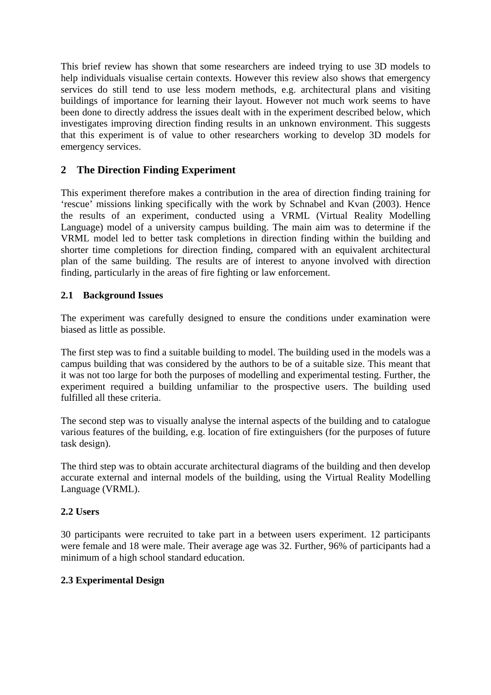This brief review has shown that some researchers are indeed trying to use 3D models to help individuals visualise certain contexts. However this review also shows that emergency services do still tend to use less modern methods, e.g. architectural plans and visiting buildings of importance for learning their layout. However not much work seems to have been done to directly address the issues dealt with in the experiment described below, which investigates improving direction finding results in an unknown environment. This suggests that this experiment is of value to other researchers working to develop 3D models for emergency services.

# **2 The Direction Finding Experiment**

This experiment therefore makes a contribution in the area of direction finding training for 'rescue' missions linking specifically with the work by Schnabel and Kvan (2003). Hence the results of an experiment, conducted using a VRML (Virtual Reality Modelling Language) model of a university campus building. The main aim was to determine if the VRML model led to better task completions in direction finding within the building and shorter time completions for direction finding, compared with an equivalent architectural plan of the same building. The results are of interest to anyone involved with direction finding, particularly in the areas of fire fighting or law enforcement.

#### **2.1 Background Issues**

The experiment was carefully designed to ensure the conditions under examination were biased as little as possible.

The first step was to find a suitable building to model. The building used in the models was a campus building that was considered by the authors to be of a suitable size. This meant that it was not too large for both the purposes of modelling and experimental testing. Further, the experiment required a building unfamiliar to the prospective users. The building used fulfilled all these criteria.

The second step was to visually analyse the internal aspects of the building and to catalogue various features of the building, e.g. location of fire extinguishers (for the purposes of future task design).

The third step was to obtain accurate architectural diagrams of the building and then develop accurate external and internal models of the building, using the Virtual Reality Modelling Language (VRML).

#### **2.2 Users**

30 participants were recruited to take part in a between users experiment. 12 participants were female and 18 were male. Their average age was 32. Further, 96% of participants had a minimum of a high school standard education.

#### **2.3 Experimental Design**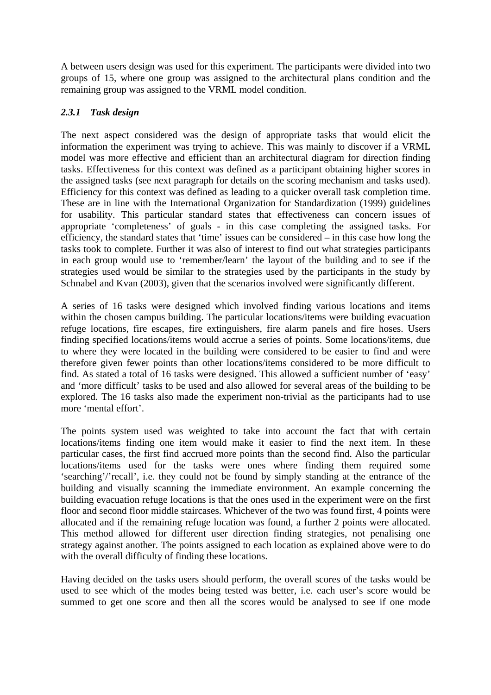A between users design was used for this experiment. The participants were divided into two groups of 15, where one group was assigned to the architectural plans condition and the remaining group was assigned to the VRML model condition.

#### *2.3.1 Task design*

The next aspect considered was the design of appropriate tasks that would elicit the information the experiment was trying to achieve. This was mainly to discover if a VRML model was more effective and efficient than an architectural diagram for direction finding tasks. Effectiveness for this context was defined as a participant obtaining higher scores in the assigned tasks (see next paragraph for details on the scoring mechanism and tasks used). Efficiency for this context was defined as leading to a quicker overall task completion time. These are in line with the International Organization for Standardization (1999) guidelines for usability. This particular standard states that effectiveness can concern issues of appropriate 'completeness' of goals - in this case completing the assigned tasks. For efficiency, the standard states that 'time' issues can be considered – in this case how long the tasks took to complete. Further it was also of interest to find out what strategies participants in each group would use to 'remember/learn' the layout of the building and to see if the strategies used would be similar to the strategies used by the participants in the study by Schnabel and Kvan (2003), given that the scenarios involved were significantly different.

A series of 16 tasks were designed which involved finding various locations and items within the chosen campus building. The particular locations/items were building evacuation refuge locations, fire escapes, fire extinguishers, fire alarm panels and fire hoses. Users finding specified locations/items would accrue a series of points. Some locations/items, due to where they were located in the building were considered to be easier to find and were therefore given fewer points than other locations/items considered to be more difficult to find. As stated a total of 16 tasks were designed. This allowed a sufficient number of 'easy' and 'more difficult' tasks to be used and also allowed for several areas of the building to be explored. The 16 tasks also made the experiment non-trivial as the participants had to use more 'mental effort'.

The points system used was weighted to take into account the fact that with certain locations/items finding one item would make it easier to find the next item. In these particular cases, the first find accrued more points than the second find. Also the particular locations/items used for the tasks were ones where finding them required some 'searching'/'recall', i.e. they could not be found by simply standing at the entrance of the building and visually scanning the immediate environment. An example concerning the building evacuation refuge locations is that the ones used in the experiment were on the first floor and second floor middle staircases. Whichever of the two was found first, 4 points were allocated and if the remaining refuge location was found, a further 2 points were allocated. This method allowed for different user direction finding strategies, not penalising one strategy against another. The points assigned to each location as explained above were to do with the overall difficulty of finding these locations.

Having decided on the tasks users should perform, the overall scores of the tasks would be used to see which of the modes being tested was better, i.e. each user's score would be summed to get one score and then all the scores would be analysed to see if one mode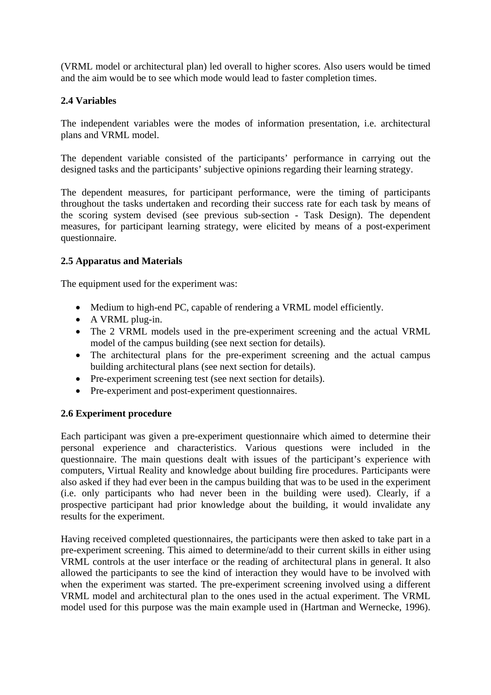(VRML model or architectural plan) led overall to higher scores. Also users would be timed and the aim would be to see which mode would lead to faster completion times.

# **2.4 Variables**

The independent variables were the modes of information presentation, i.e. architectural plans and VRML model.

The dependent variable consisted of the participants' performance in carrying out the designed tasks and the participants' subjective opinions regarding their learning strategy.

The dependent measures, for participant performance, were the timing of participants throughout the tasks undertaken and recording their success rate for each task by means of the scoring system devised (see previous sub-section - Task Design). The dependent measures, for participant learning strategy, were elicited by means of a post-experiment questionnaire.

# **2.5 Apparatus and Materials**

The equipment used for the experiment was:

- Medium to high-end PC, capable of rendering a VRML model efficiently.
- A VRML plug-in.
- The 2 VRML models used in the pre-experiment screening and the actual VRML model of the campus building (see next section for details).
- The architectural plans for the pre-experiment screening and the actual campus building architectural plans (see next section for details).
- Pre-experiment screening test (see next section for details).
- Pre-experiment and post-experiment questionnaires.

# **2.6 Experiment procedure**

Each participant was given a pre-experiment questionnaire which aimed to determine their personal experience and characteristics. Various questions were included in the questionnaire. The main questions dealt with issues of the participant's experience with computers, Virtual Reality and knowledge about building fire procedures. Participants were also asked if they had ever been in the campus building that was to be used in the experiment (i.e. only participants who had never been in the building were used). Clearly, if a prospective participant had prior knowledge about the building, it would invalidate any results for the experiment.

Having received completed questionnaires, the participants were then asked to take part in a pre-experiment screening. This aimed to determine/add to their current skills in either using VRML controls at the user interface or the reading of architectural plans in general. It also allowed the participants to see the kind of interaction they would have to be involved with when the experiment was started. The pre-experiment screening involved using a different VRML model and architectural plan to the ones used in the actual experiment. The VRML model used for this purpose was the main example used in (Hartman and Wernecke, 1996).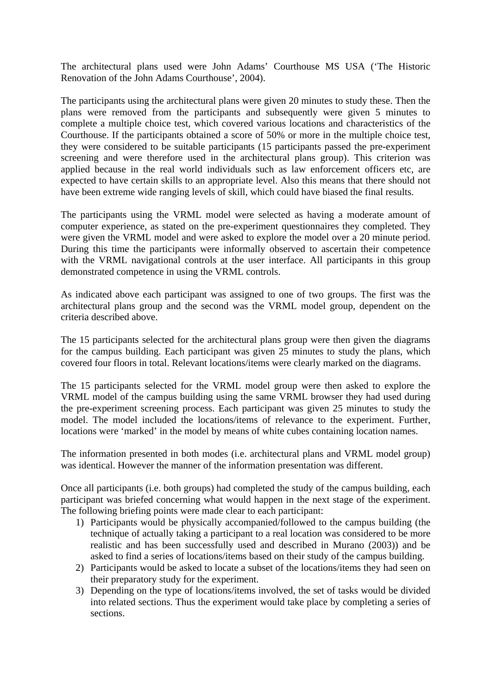The architectural plans used were John Adams' Courthouse MS USA ('The Historic Renovation of the John Adams Courthouse', 2004).

The participants using the architectural plans were given 20 minutes to study these. Then the plans were removed from the participants and subsequently were given 5 minutes to complete a multiple choice test, which covered various locations and characteristics of the Courthouse. If the participants obtained a score of 50% or more in the multiple choice test, they were considered to be suitable participants (15 participants passed the pre-experiment screening and were therefore used in the architectural plans group). This criterion was applied because in the real world individuals such as law enforcement officers etc, are expected to have certain skills to an appropriate level. Also this means that there should not have been extreme wide ranging levels of skill, which could have biased the final results.

The participants using the VRML model were selected as having a moderate amount of computer experience, as stated on the pre-experiment questionnaires they completed. They were given the VRML model and were asked to explore the model over a 20 minute period. During this time the participants were informally observed to ascertain their competence with the VRML navigational controls at the user interface. All participants in this group demonstrated competence in using the VRML controls.

As indicated above each participant was assigned to one of two groups. The first was the architectural plans group and the second was the VRML model group, dependent on the criteria described above.

The 15 participants selected for the architectural plans group were then given the diagrams for the campus building. Each participant was given 25 minutes to study the plans, which covered four floors in total. Relevant locations/items were clearly marked on the diagrams.

The 15 participants selected for the VRML model group were then asked to explore the VRML model of the campus building using the same VRML browser they had used during the pre-experiment screening process. Each participant was given 25 minutes to study the model. The model included the locations/items of relevance to the experiment. Further, locations were 'marked' in the model by means of white cubes containing location names.

The information presented in both modes (i.e. architectural plans and VRML model group) was identical. However the manner of the information presentation was different.

Once all participants (i.e. both groups) had completed the study of the campus building, each participant was briefed concerning what would happen in the next stage of the experiment. The following briefing points were made clear to each participant:

- 1) Participants would be physically accompanied/followed to the campus building (the technique of actually taking a participant to a real location was considered to be more realistic and has been successfully used and described in Murano (2003)) and be asked to find a series of locations/items based on their study of the campus building.
- 2) Participants would be asked to locate a subset of the locations/items they had seen on their preparatory study for the experiment.
- 3) Depending on the type of locations/items involved, the set of tasks would be divided into related sections. Thus the experiment would take place by completing a series of sections.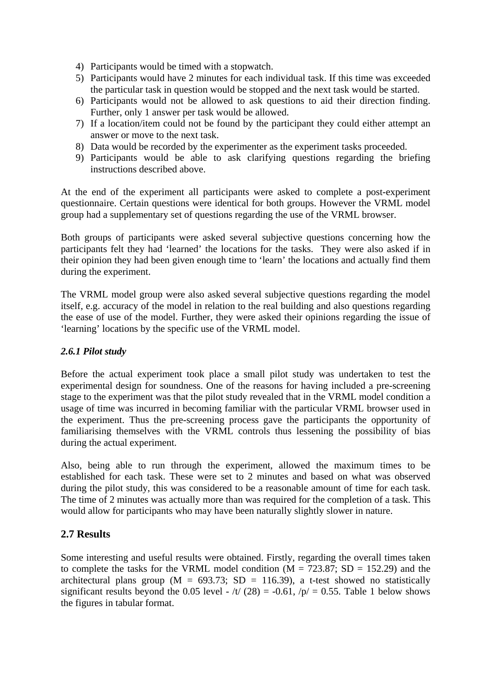- 4) Participants would be timed with a stopwatch.
- 5) Participants would have 2 minutes for each individual task. If this time was exceeded the particular task in question would be stopped and the next task would be started.
- 6) Participants would not be allowed to ask questions to aid their direction finding. Further, only 1 answer per task would be allowed.
- 7) If a location/item could not be found by the participant they could either attempt an answer or move to the next task.
- 8) Data would be recorded by the experimenter as the experiment tasks proceeded.
- 9) Participants would be able to ask clarifying questions regarding the briefing instructions described above.

At the end of the experiment all participants were asked to complete a post-experiment questionnaire. Certain questions were identical for both groups. However the VRML model group had a supplementary set of questions regarding the use of the VRML browser.

Both groups of participants were asked several subjective questions concerning how the participants felt they had 'learned' the locations for the tasks. They were also asked if in their opinion they had been given enough time to 'learn' the locations and actually find them during the experiment.

The VRML model group were also asked several subjective questions regarding the model itself, e.g. accuracy of the model in relation to the real building and also questions regarding the ease of use of the model. Further, they were asked their opinions regarding the issue of 'learning' locations by the specific use of the VRML model.

# *2.6.1 Pilot study*

Before the actual experiment took place a small pilot study was undertaken to test the experimental design for soundness. One of the reasons for having included a pre-screening stage to the experiment was that the pilot study revealed that in the VRML model condition a usage of time was incurred in becoming familiar with the particular VRML browser used in the experiment. Thus the pre-screening process gave the participants the opportunity of familiarising themselves with the VRML controls thus lessening the possibility of bias during the actual experiment.

Also, being able to run through the experiment, allowed the maximum times to be established for each task. These were set to 2 minutes and based on what was observed during the pilot study, this was considered to be a reasonable amount of time for each task. The time of 2 minutes was actually more than was required for the completion of a task. This would allow for participants who may have been naturally slightly slower in nature.

# **2.7 Results**

Some interesting and useful results were obtained. Firstly, regarding the overall times taken to complete the tasks for the VRML model condition  $(M = 723.87; SD = 152.29)$  and the architectural plans group ( $M = 693.73$ ; SD = 116.39), a t-test showed no statistically significant results beyond the 0.05 level - /t/ (28) = -0.61, /p/ = 0.55. Table 1 below shows the figures in tabular format.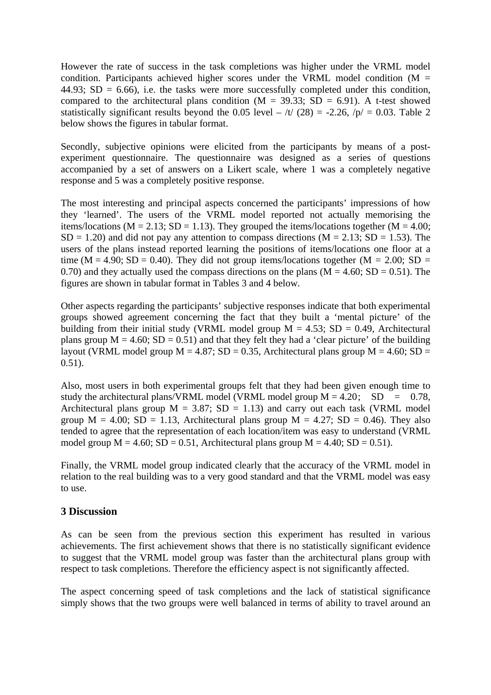However the rate of success in the task completions was higher under the VRML model condition. Participants achieved higher scores under the VRML model condition ( $M =$ 44.93;  $SD = 6.66$ ), i.e. the tasks were more successfully completed under this condition, compared to the architectural plans condition ( $M = 39.33$ ; SD = 6.91). A t-test showed statistically significant results beyond the 0.05 level – /t/  $(28) = -2.26$ , /p/ = 0.03. Table 2 below shows the figures in tabular format.

Secondly, subjective opinions were elicited from the participants by means of a postexperiment questionnaire. The questionnaire was designed as a series of questions accompanied by a set of answers on a Likert scale, where 1 was a completely negative response and 5 was a completely positive response.

The most interesting and principal aspects concerned the participants' impressions of how they 'learned'. The users of the VRML model reported not actually memorising the items/locations ( $M = 2.13$ ;  $SD = 1.13$ ). They grouped the items/locations together ( $M = 4.00$ ;  $SD = 1.20$ ) and did not pay any attention to compass directions (M = 2.13; SD = 1.53). The users of the plans instead reported learning the positions of items/locations one floor at a time (M = 4.90; SD = 0.40). They did not group items/locations together (M = 2.00; SD = 0.70) and they actually used the compass directions on the plans ( $M = 4.60$ ; SD = 0.51). The figures are shown in tabular format in Tables 3 and 4 below.

Other aspects regarding the participants' subjective responses indicate that both experimental groups showed agreement concerning the fact that they built a 'mental picture' of the building from their initial study (VRML model group  $M = 4.53$ ; SD = 0.49, Architectural plans group  $M = 4.60$ ;  $SD = 0.51$ ) and that they felt they had a 'clear picture' of the building layout (VRML model group  $M = 4.87$ ; SD = 0.35, Architectural plans group  $M = 4.60$ ; SD = 0.51).

Also, most users in both experimental groups felt that they had been given enough time to study the architectural plans/VRML model (VRML model group  $M = 4.20$ ; SD = 0.78, Architectural plans group  $M = 3.87$ ;  $SD = 1.13$ ) and carry out each task (VRML model group  $M = 4.00$ ;  $SD = 1.13$ , Architectural plans group  $M = 4.27$ ;  $SD = 0.46$ ). They also tended to agree that the representation of each location/item was easy to understand (VRML model group  $M = 4.60$ ;  $SD = 0.51$ , Architectural plans group  $M = 4.40$ ;  $SD = 0.51$ ).

Finally, the VRML model group indicated clearly that the accuracy of the VRML model in relation to the real building was to a very good standard and that the VRML model was easy to use.

# **3 Discussion**

As can be seen from the previous section this experiment has resulted in various achievements. The first achievement shows that there is no statistically significant evidence to suggest that the VRML model group was faster than the architectural plans group with respect to task completions. Therefore the efficiency aspect is not significantly affected.

The aspect concerning speed of task completions and the lack of statistical significance simply shows that the two groups were well balanced in terms of ability to travel around an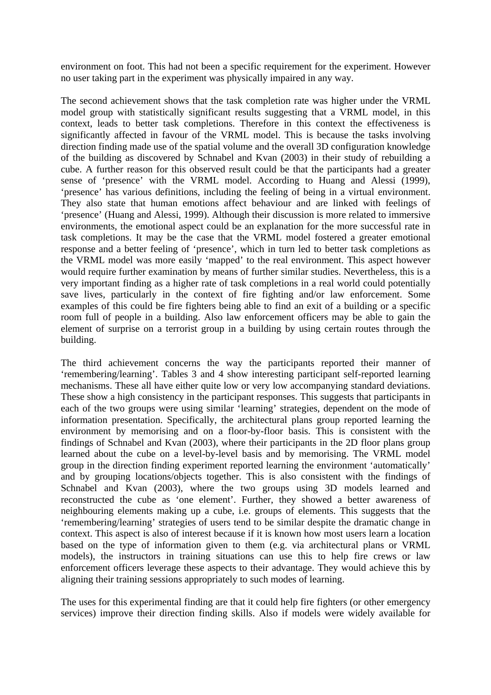environment on foot. This had not been a specific requirement for the experiment. However no user taking part in the experiment was physically impaired in any way.

The second achievement shows that the task completion rate was higher under the VRML model group with statistically significant results suggesting that a VRML model, in this context, leads to better task completions. Therefore in this context the effectiveness is significantly affected in favour of the VRML model. This is because the tasks involving direction finding made use of the spatial volume and the overall 3D configuration knowledge of the building as discovered by Schnabel and Kvan (2003) in their study of rebuilding a cube. A further reason for this observed result could be that the participants had a greater sense of 'presence' with the VRML model. According to Huang and Alessi (1999), 'presence' has various definitions, including the feeling of being in a virtual environment. They also state that human emotions affect behaviour and are linked with feelings of 'presence' (Huang and Alessi, 1999). Although their discussion is more related to immersive environments, the emotional aspect could be an explanation for the more successful rate in task completions. It may be the case that the VRML model fostered a greater emotional response and a better feeling of 'presence', which in turn led to better task completions as the VRML model was more easily 'mapped' to the real environment. This aspect however would require further examination by means of further similar studies. Nevertheless, this is a very important finding as a higher rate of task completions in a real world could potentially save lives, particularly in the context of fire fighting and/or law enforcement. Some examples of this could be fire fighters being able to find an exit of a building or a specific room full of people in a building. Also law enforcement officers may be able to gain the element of surprise on a terrorist group in a building by using certain routes through the building.

The third achievement concerns the way the participants reported their manner of 'remembering/learning'. Tables 3 and 4 show interesting participant self-reported learning mechanisms. These all have either quite low or very low accompanying standard deviations. These show a high consistency in the participant responses. This suggests that participants in each of the two groups were using similar 'learning' strategies, dependent on the mode of information presentation. Specifically, the architectural plans group reported learning the environment by memorising and on a floor-by-floor basis. This is consistent with the findings of Schnabel and Kvan (2003), where their participants in the 2D floor plans group learned about the cube on a level-by-level basis and by memorising. The VRML model group in the direction finding experiment reported learning the environment 'automatically' and by grouping locations/objects together. This is also consistent with the findings of Schnabel and Kvan (2003), where the two groups using 3D models learned and reconstructed the cube as 'one element'. Further, they showed a better awareness of neighbouring elements making up a cube, i.e. groups of elements. This suggests that the 'remembering/learning' strategies of users tend to be similar despite the dramatic change in context. This aspect is also of interest because if it is known how most users learn a location based on the type of information given to them (e.g. via architectural plans or VRML models), the instructors in training situations can use this to help fire crews or law enforcement officers leverage these aspects to their advantage. They would achieve this by aligning their training sessions appropriately to such modes of learning.

The uses for this experimental finding are that it could help fire fighters (or other emergency services) improve their direction finding skills. Also if models were widely available for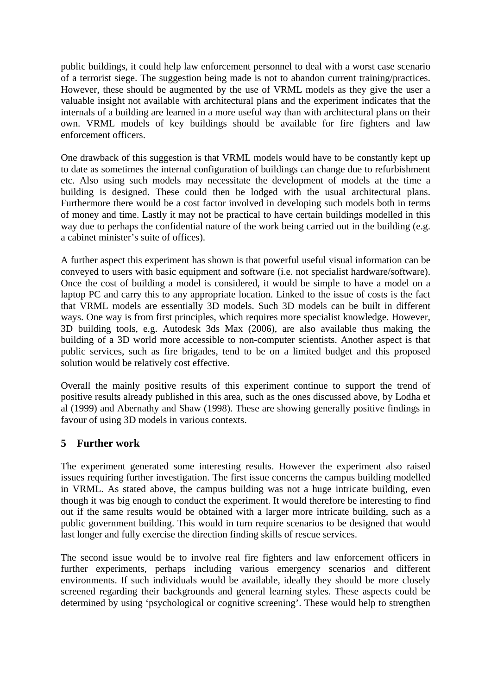public buildings, it could help law enforcement personnel to deal with a worst case scenario of a terrorist siege. The suggestion being made is not to abandon current training/practices. However, these should be augmented by the use of VRML models as they give the user a valuable insight not available with architectural plans and the experiment indicates that the internals of a building are learned in a more useful way than with architectural plans on their own. VRML models of key buildings should be available for fire fighters and law enforcement officers.

One drawback of this suggestion is that VRML models would have to be constantly kept up to date as sometimes the internal configuration of buildings can change due to refurbishment etc. Also using such models may necessitate the development of models at the time a building is designed. These could then be lodged with the usual architectural plans. Furthermore there would be a cost factor involved in developing such models both in terms of money and time. Lastly it may not be practical to have certain buildings modelled in this way due to perhaps the confidential nature of the work being carried out in the building (e.g. a cabinet minister's suite of offices).

A further aspect this experiment has shown is that powerful useful visual information can be conveyed to users with basic equipment and software (i.e. not specialist hardware/software). Once the cost of building a model is considered, it would be simple to have a model on a laptop PC and carry this to any appropriate location. Linked to the issue of costs is the fact that VRML models are essentially 3D models. Such 3D models can be built in different ways. One way is from first principles, which requires more specialist knowledge. However, 3D building tools, e.g. Autodesk 3ds Max (2006), are also available thus making the building of a 3D world more accessible to non-computer scientists. Another aspect is that public services, such as fire brigades, tend to be on a limited budget and this proposed solution would be relatively cost effective.

Overall the mainly positive results of this experiment continue to support the trend of positive results already published in this area, such as the ones discussed above, by Lodha et al (1999) and Abernathy and Shaw (1998). These are showing generally positive findings in favour of using 3D models in various contexts.

# **5 Further work**

The experiment generated some interesting results. However the experiment also raised issues requiring further investigation. The first issue concerns the campus building modelled in VRML. As stated above, the campus building was not a huge intricate building, even though it was big enough to conduct the experiment. It would therefore be interesting to find out if the same results would be obtained with a larger more intricate building, such as a public government building. This would in turn require scenarios to be designed that would last longer and fully exercise the direction finding skills of rescue services.

The second issue would be to involve real fire fighters and law enforcement officers in further experiments, perhaps including various emergency scenarios and different environments. If such individuals would be available, ideally they should be more closely screened regarding their backgrounds and general learning styles. These aspects could be determined by using 'psychological or cognitive screening'. These would help to strengthen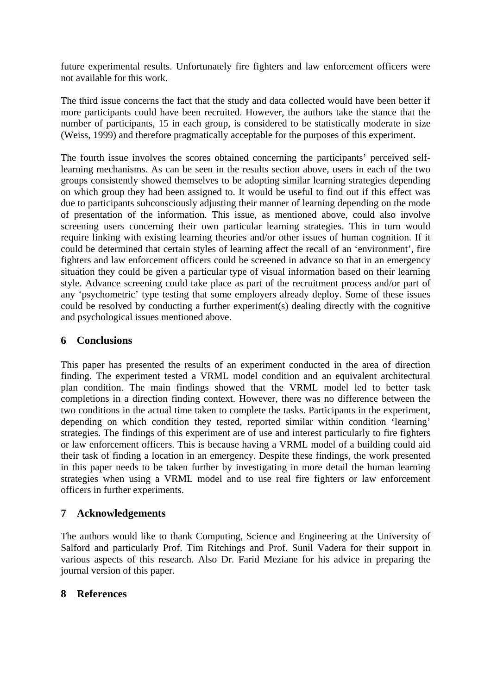future experimental results. Unfortunately fire fighters and law enforcement officers were not available for this work.

The third issue concerns the fact that the study and data collected would have been better if more participants could have been recruited. However, the authors take the stance that the number of participants, 15 in each group, is considered to be statistically moderate in size (Weiss, 1999) and therefore pragmatically acceptable for the purposes of this experiment.

The fourth issue involves the scores obtained concerning the participants' perceived selflearning mechanisms. As can be seen in the results section above, users in each of the two groups consistently showed themselves to be adopting similar learning strategies depending on which group they had been assigned to. It would be useful to find out if this effect was due to participants subconsciously adjusting their manner of learning depending on the mode of presentation of the information. This issue, as mentioned above, could also involve screening users concerning their own particular learning strategies. This in turn would require linking with existing learning theories and/or other issues of human cognition. If it could be determined that certain styles of learning affect the recall of an 'environment', fire fighters and law enforcement officers could be screened in advance so that in an emergency situation they could be given a particular type of visual information based on their learning style. Advance screening could take place as part of the recruitment process and/or part of any 'psychometric' type testing that some employers already deploy. Some of these issues could be resolved by conducting a further experiment(s) dealing directly with the cognitive and psychological issues mentioned above.

# **6 Conclusions**

This paper has presented the results of an experiment conducted in the area of direction finding. The experiment tested a VRML model condition and an equivalent architectural plan condition. The main findings showed that the VRML model led to better task completions in a direction finding context. However, there was no difference between the two conditions in the actual time taken to complete the tasks. Participants in the experiment, depending on which condition they tested, reported similar within condition 'learning' strategies. The findings of this experiment are of use and interest particularly to fire fighters or law enforcement officers. This is because having a VRML model of a building could aid their task of finding a location in an emergency. Despite these findings, the work presented in this paper needs to be taken further by investigating in more detail the human learning strategies when using a VRML model and to use real fire fighters or law enforcement officers in further experiments.

# **7 Acknowledgements**

The authors would like to thank Computing, Science and Engineering at the University of Salford and particularly Prof. Tim Ritchings and Prof. Sunil Vadera for their support in various aspects of this research. Also Dr. Farid Meziane for his advice in preparing the journal version of this paper.

# **8 References**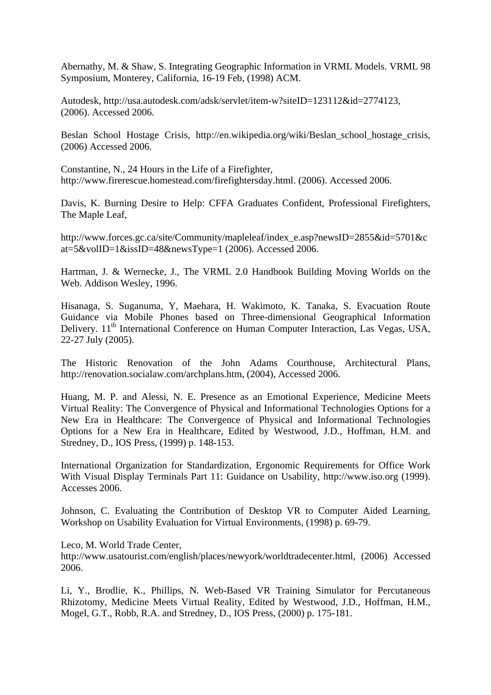Abernathy, M. & Shaw, S. Integrating Geographic Information in VRML Models. VRML 98 Symposium, Monterey, California, 16-19 Feb, (1998) ACM.

Autodesk, http://usa.autodesk.com/adsk/servlet/item-w?siteID=123112&id=2774123, (2006). Accessed 2006.

Beslan School Hostage Crisis, http://en.wikipedia.org/wiki/Beslan school hostage crisis, (2006) Accessed 2006.

Constantine, N., 24 Hours in the Life of a Firefighter, http://www.firerescue.homestead.com/firefightersday.html. (2006). Accessed 2006.

Davis, K. Burning Desire to Help: CFFA Graduates Confident, Professional Firefighters, The Maple Leaf,

http://www.forces.gc.ca/site/Community/mapleleaf/index\_e.asp?newsID=2855&id=5701&c at=5&volID=1&issID=48&newsType=1 (2006). Accessed 2006.

Hartman, J. & Wernecke, J., The VRML 2.0 Handbook Building Moving Worlds on the Web. Addison Wesley, 1996.

Hisanaga, S. Suganuma, Y, Maehara, H. Wakimoto, K. Tanaka, S. Evacuation Route Guidance via Mobile Phones based on Three-dimensional Geographical Information Delivery. 11<sup>th</sup> International Conference on Human Computer Interaction, Las Vegas, USA, 22-27 July (2005).

The Historic Renovation of the John Adams Courthouse, Architectural Plans, http://renovation.socialaw.com/archplans.htm, (2004), Accessed 2006.

Huang, M. P. and Alessi, N. E. Presence as an Emotional Experience, Medicine Meets Virtual Reality: The Convergence of Physical and Informational Technologies Options for a New Era in Healthcare: The Convergence of Physical and Informational Technologies Options for a New Era in Healthcare, Edited by Westwood, J.D., Hoffman, H.M. and Stredney, D., IOS Press, (1999) p. 148-153.

International Organization for Standardization, Ergonomic Requirements for Office Work With Visual Display Terminals Part 11: Guidance on Usability, http://www.iso.org (1999). Accesses 2006.

Johnson, C. Evaluating the Contribution of Desktop VR to Computer Aided Learning, Workshop on Usability Evaluation for Virtual Environments, (1998) p. 69-79.

Leco, M. World Trade Center,

http://www.usatourist.com/english/places/newyork/worldtradecenter.html, (2006) Accessed 2006.

Li, Y., Brodlie, K., Phillips, N. Web-Based VR Training Simulator for Percutaneous Rhizotomy, Medicine Meets Virtual Reality, Edited by Westwood, J.D., Hoffman, H.M., Mogel, G.T., Robb, R.A. and Stredney, D., IOS Press, (2000) p. 175-181.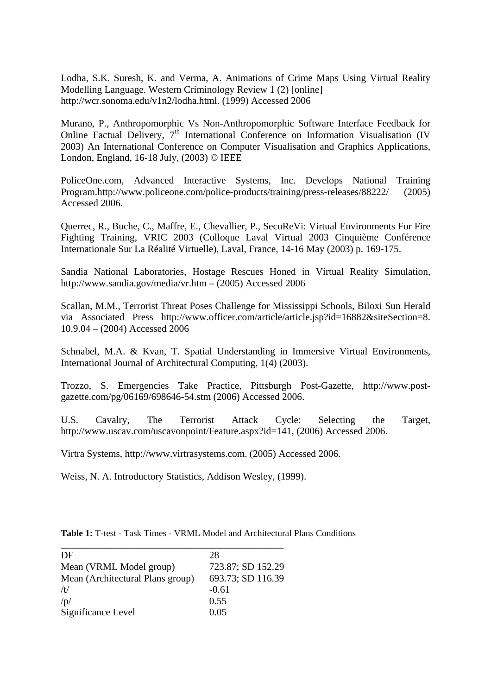Lodha, S.K. Suresh, K. and Verma, A. Animations of Crime Maps Using Virtual Reality Modelling Language. Western Criminology Review 1 (2) [online] http://wcr.sonoma.edu/v1n2/lodha.html. (1999) Accessed 2006

Murano, P., Anthropomorphic Vs Non-Anthropomorphic Software Interface Feedback for Online Factual Delivery,  $7<sup>th</sup>$  International Conference on Information Visualisation (IV 2003) An International Conference on Computer Visualisation and Graphics Applications, London, England, 16-18 July, (2003) © IEEE

PoliceOne.com, Advanced Interactive Systems, Inc. Develops National Training Program.http://www.policeone.com/police-products/training/press-releases/88222/ (2005) Accessed 2006.

Querrec, R., Buche, C., Maffre, E., Chevallier, P., SecuReVi: Virtual Environments For Fire Fighting Training, VRIC 2003 (Colloque Laval Virtual 2003 Cinquième Conférence Internationale Sur La Réalité Virtuelle), Laval, France, 14-16 May (2003) p. 169-175.

Sandia National Laboratories, Hostage Rescues Honed in Virtual Reality Simulation, http://www.sandia.gov/media/vr.htm – (2005) Accessed 2006

Scallan, M.M., Terrorist Threat Poses Challenge for Mississippi Schools, Biloxi Sun Herald via Associated Press http://www.officer.com/article/article.jsp?id=16882&siteSection=8. 10.9.04 – (2004) Accessed 2006

Schnabel, M.A. & Kvan, T. Spatial Understanding in Immersive Virtual Environments, International Journal of Architectural Computing, 1(4) (2003).

Trozzo, S. Emergencies Take Practice, Pittsburgh Post-Gazette, http://www.postgazette.com/pg/06169/698646-54.stm (2006) Accessed 2006.

U.S. Cavalry, The Terrorist Attack Cycle: Selecting the Target, http://www.uscav.com/uscavonpoint/Feature.aspx?id=141, (2006) Accessed 2006.

Virtra Systems, http://www.virtrasystems.com. (2005) Accessed 2006.

Weiss, N. A. Introductory Statistics, Addison Wesley, (1999).

| DF                               | 28                |
|----------------------------------|-------------------|
| Mean (VRML Model group)          | 723.87; SD 152.29 |
| Mean (Architectural Plans group) | 693.73; SD 116.39 |
| /t/                              | $-0.61$           |
| /p/                              | 0.55              |
| Significance Level               | 0.05              |

**Table 1:** T-test - Task Times - VRML Model and Architectural Plans Conditions